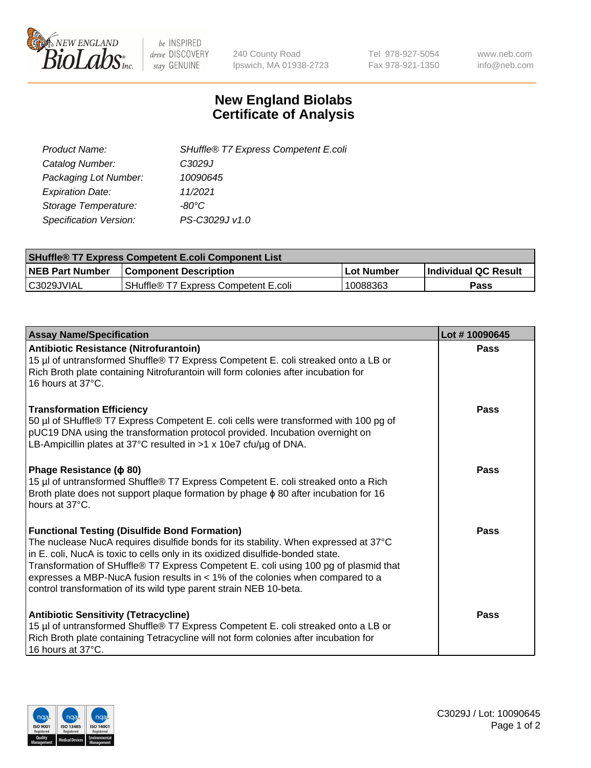

 $be$  INSPIRED drive DISCOVERY stay GENUINE

240 County Road Ipswich, MA 01938-2723 Tel 978-927-5054 Fax 978-921-1350 www.neb.com info@neb.com

## **New England Biolabs Certificate of Analysis**

| SHuffle® T7 Express Competent E.coli |
|--------------------------------------|
| C3029J                               |
| 10090645                             |
| 11/2021                              |
| -80°C.                               |
| PS-C3029J v1.0                       |
|                                      |

| <b>SHuffle<sup>®</sup> T7 Express Competent E.coli Component List</b> |                                      |            |                             |  |
|-----------------------------------------------------------------------|--------------------------------------|------------|-----------------------------|--|
| <b>NEB Part Number</b>                                                | <b>Component Description</b>         | Lot Number | <b>Individual QC Result</b> |  |
| C3029JVIAL                                                            | SHuffle® T7 Express Competent E.coli | 10088363   | <b>Pass</b>                 |  |

| <b>Assay Name/Specification</b>                                                                                                                                                                                                                                                                                                                                                                                                                                                   | Lot #10090645 |
|-----------------------------------------------------------------------------------------------------------------------------------------------------------------------------------------------------------------------------------------------------------------------------------------------------------------------------------------------------------------------------------------------------------------------------------------------------------------------------------|---------------|
| <b>Antibiotic Resistance (Nitrofurantoin)</b><br>15 µl of untransformed Shuffle® T7 Express Competent E. coli streaked onto a LB or<br>Rich Broth plate containing Nitrofurantoin will form colonies after incubation for<br>16 hours at 37°C.                                                                                                                                                                                                                                    | Pass          |
| <b>Transformation Efficiency</b><br>50 µl of SHuffle® T7 Express Competent E. coli cells were transformed with 100 pg of<br>pUC19 DNA using the transformation protocol provided. Incubation overnight on<br>LB-Ampicillin plates at 37°C resulted in >1 x 10e7 cfu/ug of DNA.                                                                                                                                                                                                    | Pass          |
| Phage Resistance ( $\phi$ 80)<br>15 µl of untransformed Shuffle® T7 Express Competent E. coli streaked onto a Rich<br>Broth plate does not support plaque formation by phage $\phi$ 80 after incubation for 16<br>hours at 37°C.                                                                                                                                                                                                                                                  | Pass          |
| <b>Functional Testing (Disulfide Bond Formation)</b><br>The nuclease NucA requires disulfide bonds for its stability. When expressed at 37°C<br>in E. coli, NucA is toxic to cells only in its oxidized disulfide-bonded state.<br>Transformation of SHuffle® T7 Express Competent E. coli using 100 pg of plasmid that<br>expresses a MBP-NucA fusion results in $<$ 1% of the colonies when compared to a<br>control transformation of its wild type parent strain NEB 10-beta. | Pass          |
| <b>Antibiotic Sensitivity (Tetracycline)</b><br>15 µl of untransformed Shuffle® T7 Express Competent E. coli streaked onto a LB or<br>Rich Broth plate containing Tetracycline will not form colonies after incubation for<br>16 hours at 37°C.                                                                                                                                                                                                                                   | Pass          |